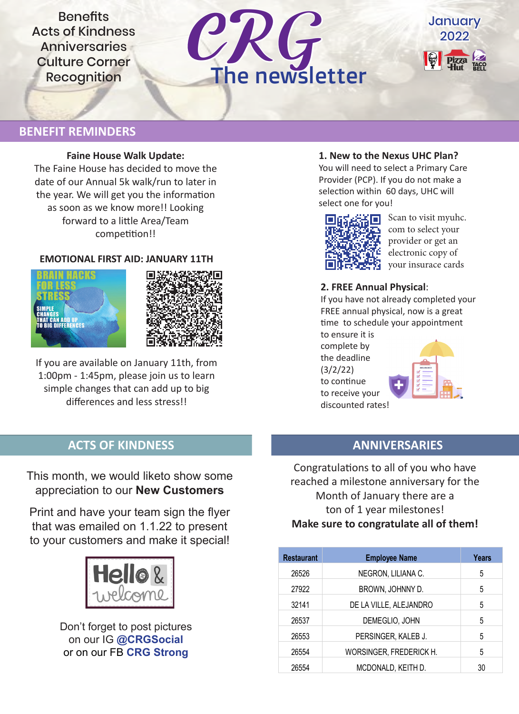**Benefits** Acts of Kindness **Anniversaries** Culture Corner





# **BENEFIT REMINDERS**

#### **Faine House Walk Update:**

The Faine House has decided to move the date of our Annual 5k walk/run to later in the year. We will get you the information as soon as we know more!! Looking forward to a little Area/Team competition!!

### **EMOTIONAL FIRST AID: JANUARY 11TH**





If you are available on January 11th, from 1:00pm - 1:45pm, please join us to learn simple changes that can add up to big differences and less stress!!

## **1. New to the Nexus UHC Plan?**

You will need to select a Primary Care Provider (PCP). If you do not make a selection within 60 days, UHC will select one for you!



Scan to visit myuhc. com to select your provider or get an electronic copy of your insurace cards

### **2. FREE Annual Physical**:

If you have not already completed your FREE annual physical, now is a great time to schedule your appointment

to ensure it is complete by the deadline (3/2/22) to continue to receive your discounted rates!



# **ACTS OF KINDNESS ANNIVERSARIES**

This month, we would liketo show some appreciation to our **New Customers**

Print and have your team sign the flyer that was emailed on 1.1.22 to present to your customers and make it special!



Don't forget to post pictures on our IG **@CRGSocial**  or on our FB **CRG Strong**

Congratulations to all of you who have reached a milestone anniversary for the Month of January there are a ton of 1 year milestones! **Make sure to congratulate all of them!**

| <b>Restaurant</b> | <b>Employee Name</b>    | Years |
|-------------------|-------------------------|-------|
| 26526             | NEGRON, LILIANA C.      | 5     |
| 27922             | BROWN, JOHNNY D.        | 5     |
| 32141             | DE LA VILLE, ALEJANDRO  | 5     |
| 26537             | DEMEGLIO, JOHN          | 5     |
| 26553             | PERSINGER, KALEB J.     | 5     |
| 26554             | WORSINGER, FREDERICK H. | 5     |
| 26554             | MCDONALD, KEITH D.      | 30    |